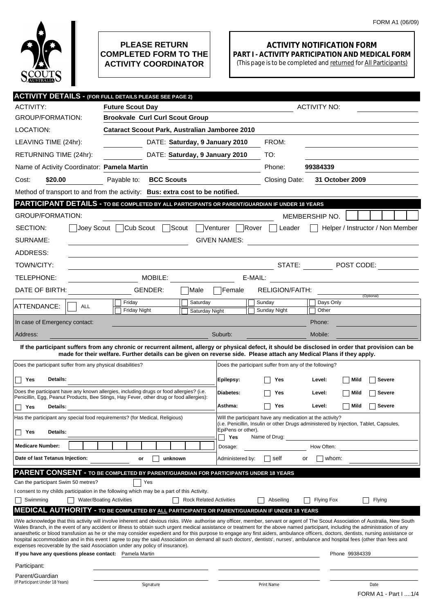

## **PLEASE RETURN COMPLETED FORM TO THE ACTIVITY COORDINATOR**

## **ACTIVITY NOTIFICATION FORM PART I - ACTIVITY PARTICIPATION AND MEDICAL FORM**

(This page is to be completed and returned for All Participants)

|                                                                                                                                                         | <b>ACTIVITY DETAILS - (FOR FULL DETAILS PLEASE SEE PAGE 2)</b>                                                                                                                                                                                                                                                                                                         |                                                                             |                                                                                       |  |
|---------------------------------------------------------------------------------------------------------------------------------------------------------|------------------------------------------------------------------------------------------------------------------------------------------------------------------------------------------------------------------------------------------------------------------------------------------------------------------------------------------------------------------------|-----------------------------------------------------------------------------|---------------------------------------------------------------------------------------|--|
| <b>ACTIVITY:</b>                                                                                                                                        | <b>Future Scout Day</b>                                                                                                                                                                                                                                                                                                                                                |                                                                             | <b>ACTIVITY NO:</b>                                                                   |  |
| GROUP/FORMATION:                                                                                                                                        | <b>Brookvale Curl Curl Scout Group</b>                                                                                                                                                                                                                                                                                                                                 |                                                                             |                                                                                       |  |
| LOCATION:                                                                                                                                               | <b>Cataract Scoout Park, Australian Jamboree 2010</b>                                                                                                                                                                                                                                                                                                                  |                                                                             |                                                                                       |  |
| LEAVING TIME (24hr):                                                                                                                                    | DATE: Saturday, 9 January 2010                                                                                                                                                                                                                                                                                                                                         | FROM:                                                                       |                                                                                       |  |
| RETURNING TIME (24hr):                                                                                                                                  | DATE: Saturday, 9 January 2010                                                                                                                                                                                                                                                                                                                                         | TO:                                                                         |                                                                                       |  |
| Name of Activity Coordinator: Pamela Martin                                                                                                             |                                                                                                                                                                                                                                                                                                                                                                        | Phone:                                                                      | 99384339                                                                              |  |
| Cost:<br>\$20.00                                                                                                                                        | <b>BCC Scouts</b><br>Payable to:                                                                                                                                                                                                                                                                                                                                       | Closing Date:                                                               | 31 October 2009                                                                       |  |
|                                                                                                                                                         | Method of transport to and from the activity: Bus: extra cost to be notified.                                                                                                                                                                                                                                                                                          |                                                                             |                                                                                       |  |
|                                                                                                                                                         | PARTICIPANT DETAILS - TO BE COMPLETED BY ALL PARTICIPANTS OR PARENT/GUARDIAN IF UNDER 18 YEARS                                                                                                                                                                                                                                                                         |                                                                             |                                                                                       |  |
| GROUP/FORMATION:                                                                                                                                        |                                                                                                                                                                                                                                                                                                                                                                        |                                                                             | MEMBERSHIP NO.                                                                        |  |
| SECTION:                                                                                                                                                | Scout <sup>7</sup><br>Joey Scout   Cub Scout                                                                                                                                                                                                                                                                                                                           | Venturer Rover<br>Leader                                                    | Helper / Instructor / Non Member                                                      |  |
| SURNAME:<br><b>GIVEN NAMES:</b><br><u> 1980 - Jan Stein Stein Stein Stein Stein Stein Stein Stein Stein Stein Stein Stein Stein Stein Stein Stein S</u> |                                                                                                                                                                                                                                                                                                                                                                        |                                                                             |                                                                                       |  |
| ADDRESS:                                                                                                                                                |                                                                                                                                                                                                                                                                                                                                                                        |                                                                             |                                                                                       |  |
| TOWN/CITY:                                                                                                                                              |                                                                                                                                                                                                                                                                                                                                                                        | STATE:                                                                      | $\blacksquare$ POST CODE:                                                             |  |
| TELEPHONE:                                                                                                                                              | MOBILE:                                                                                                                                                                                                                                                                                                                                                                | E-MAIL:                                                                     |                                                                                       |  |
| DATE OF BIRTH:                                                                                                                                          | GENDER:<br>Male                                                                                                                                                                                                                                                                                                                                                        | <b>RELIGION/FAITH:</b><br>Female                                            |                                                                                       |  |
| ATTENDANCE:<br><b>ALL</b>                                                                                                                               | Friday<br>Saturday                                                                                                                                                                                                                                                                                                                                                     | Sunday                                                                      | (Optional)<br>Days Only                                                               |  |
|                                                                                                                                                         | <b>Friday Night</b><br>Saturday Night                                                                                                                                                                                                                                                                                                                                  | Sunday Night                                                                | Other                                                                                 |  |
| In case of Emergency contact:                                                                                                                           |                                                                                                                                                                                                                                                                                                                                                                        |                                                                             | Phone:                                                                                |  |
| Address:                                                                                                                                                |                                                                                                                                                                                                                                                                                                                                                                        | Suburb:                                                                     | Mobile:                                                                               |  |
|                                                                                                                                                         | If the participant suffers from any chronic or recurrent ailment, allergy or physical defect, it should be disclosed in order that provision can be<br>made for their welfare. Further details can be given on reverse side. Please attach any Medical Plans if they apply.                                                                                            |                                                                             |                                                                                       |  |
| Does the participant suffer from any physical disabilities?                                                                                             |                                                                                                                                                                                                                                                                                                                                                                        | Does the participant suffer from any of the following?                      |                                                                                       |  |
| Details:<br>Yes                                                                                                                                         |                                                                                                                                                                                                                                                                                                                                                                        | Epilepsy:<br>Yes                                                            | Mild<br>Level:<br>Severe                                                              |  |
|                                                                                                                                                         | Does the participant have any known allergies, including drugs or food allergies? (i.e.                                                                                                                                                                                                                                                                                | Diabetes:<br>Yes                                                            | Level:<br>Mild<br>Severe                                                              |  |
| Penicillin, Egg, Peanut Products, Bee Stings, Hay Fever, other drug or food allergies):                                                                 |                                                                                                                                                                                                                                                                                                                                                                        |                                                                             | <b>Severe</b>                                                                         |  |
| Yes<br>Details:                                                                                                                                         |                                                                                                                                                                                                                                                                                                                                                                        | Asthma:<br>Yes<br>Will the participant have any medication at the activity? | $\Box$ Mild<br>Level:                                                                 |  |
| Has the participant any special food requirements? (for Medical, Religious)                                                                             |                                                                                                                                                                                                                                                                                                                                                                        | EpiPens or other).                                                          | (i.e. Penicillin, Insulin or other Drugs administered by Injection, Tablet, Capsules, |  |
| Details:<br>Yes<br>H                                                                                                                                    |                                                                                                                                                                                                                                                                                                                                                                        | Yes<br>Name of Drug:                                                        |                                                                                       |  |
| <b>Medicare Number:</b>                                                                                                                                 |                                                                                                                                                                                                                                                                                                                                                                        | Dosage:                                                                     | How Often:                                                                            |  |
| Date of last Tetanus Injection:                                                                                                                         | unknown<br>or                                                                                                                                                                                                                                                                                                                                                          | Administered by:<br>self                                                    | whom:<br>or                                                                           |  |
|                                                                                                                                                         | <b>PARENT CONSENT - TO BE COMPLETED BY PARENT/GUARDIAN FOR PARTICIPANTS UNDER 18 YEARS</b>                                                                                                                                                                                                                                                                             |                                                                             |                                                                                       |  |
| Can the participant Swim 50 metres?                                                                                                                     | Yes                                                                                                                                                                                                                                                                                                                                                                    |                                                                             |                                                                                       |  |
| Swimming                                                                                                                                                | I consent to my childs participation in the following which may be a part of this Activity.<br><b>Water/Boating Activities</b><br><b>Rock Related Activities</b>                                                                                                                                                                                                       | Abseiling                                                                   | <b>Flying Fox</b><br>Flying                                                           |  |
|                                                                                                                                                         | <u>MEDICAL AUTHORITY - to be completed by all</u> participants or parent/guardian if under 18 years                                                                                                                                                                                                                                                                    |                                                                             |                                                                                       |  |
|                                                                                                                                                         | I/We acknowledge that this activity will involve inherent and obvious risks. I/We authorise any officer, member, servant or agent of The Scout Association of Australia, New South                                                                                                                                                                                     |                                                                             |                                                                                       |  |
|                                                                                                                                                         | Wales Branch, in the event of any accident or illness to obtain such urgent medical assistance or treatment for the above named participant, including the administration of any<br>anaesthetic or blood transfusion as he or she may consider expedient and for this purpose to engage any first aiders, ambulance officers, doctors, dentists, nursing assistance or |                                                                             |                                                                                       |  |
|                                                                                                                                                         | hospital accommodation and in this event I agree to pay the said Association on demand all such doctors', dentists', nurses', ambulance and hospital fees (other than fees and<br>expenses recoverable by the said Association under any policy of insurance).                                                                                                         |                                                                             |                                                                                       |  |
| If you have any questions please contact: Pamela Martin                                                                                                 |                                                                                                                                                                                                                                                                                                                                                                        |                                                                             | Phone 99384339                                                                        |  |
| Participant:                                                                                                                                            |                                                                                                                                                                                                                                                                                                                                                                        |                                                                             |                                                                                       |  |
| Parent/Guardian<br>(If Participant Under 18 Years)                                                                                                      |                                                                                                                                                                                                                                                                                                                                                                        |                                                                             |                                                                                       |  |
|                                                                                                                                                         | Signature                                                                                                                                                                                                                                                                                                                                                              | Print Name                                                                  | Date<br>FORM A1 - Part I 1/4                                                          |  |